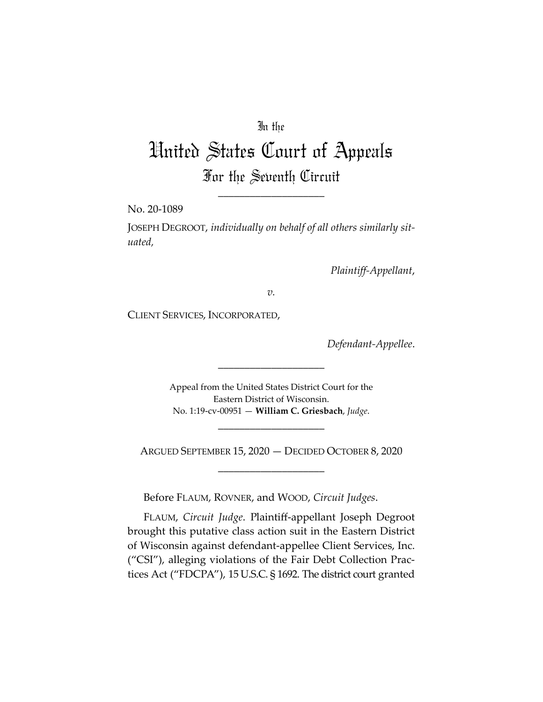## In the

# United States Court of Appeals For the Seventh Circuit

\_\_\_\_\_\_\_\_\_\_\_\_\_\_\_\_\_\_\_\_

No. 20-1089

JOSEPH DEGROOT, *individually on behalf of all others similarly situated,* 

*Plaintiff-Appellant*,

*v.*

CLIENT SERVICES, INCORPORATED,

*Defendant-Appellee*.

Appeal from the United States District Court for the Eastern District of Wisconsin. No. 1:19-cv-00951 — **William C. Griesbach**, *Judge*.

\_\_\_\_\_\_\_\_\_\_\_\_\_\_\_\_\_\_\_\_

ARGUED SEPTEMBER 15, 2020 — DECIDED OCTOBER 8, 2020 \_\_\_\_\_\_\_\_\_\_\_\_\_\_\_\_\_\_\_\_

\_\_\_\_\_\_\_\_\_\_\_\_\_\_\_\_\_\_\_\_

Before FLAUM, ROVNER, and WOOD, *Circuit Judges*.

FLAUM, *Circuit Judge*. Plaintiff-appellant Joseph Degroot brought this putative class action suit in the Eastern District of Wisconsin against defendant-appellee Client Services, Inc. ("CSI"), alleging violations of the Fair Debt Collection Practices Act ("FDCPA"), 15 U.S.C. § 1692. The district court granted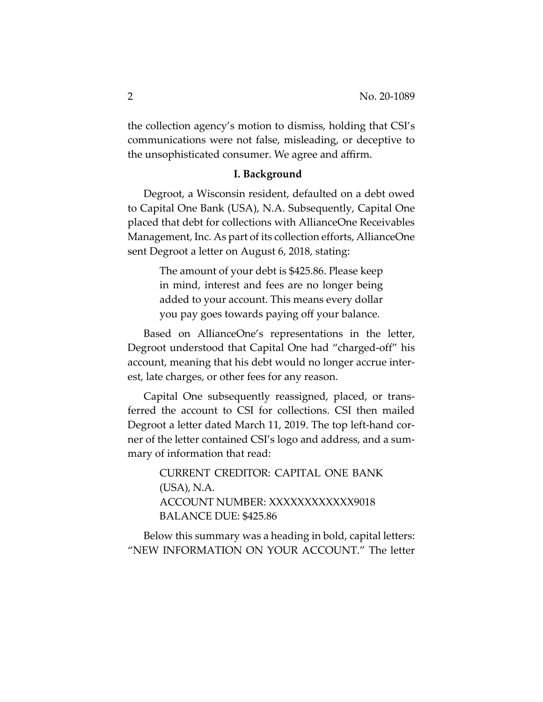the collection agency's motion to dismiss, holding that CSI's communications were not false, misleading, or deceptive to the unsophisticated consumer. We agree and affirm.

### **I. Background**

Degroot, a Wisconsin resident, defaulted on a debt owed to Capital One Bank (USA), N.A. Subsequently, Capital One placed that debt for collections with AllianceOne Receivables Management, Inc. As part of its collection efforts, AllianceOne sent Degroot a letter on August 6, 2018, stating:

> The amount of your debt is \$425.86. Please keep in mind, interest and fees are no longer being added to your account. This means every dollar you pay goes towards paying off your balance.

Based on AllianceOne's representations in the letter, Degroot understood that Capital One had "charged-off" his account, meaning that his debt would no longer accrue interest, late charges, or other fees for any reason.

Capital One subsequently reassigned, placed, or transferred the account to CSI for collections. CSI then mailed Degroot a letter dated March 11, 2019. The top left-hand corner of the letter contained CSI's logo and address, and a summary of information that read:

> CURRENT CREDITOR: CAPITAL ONE BANK (USA), N.A. ACCOUNT NUMBER: XXXXXXXXXXXX9018 BALANCE DUE: \$425.86

Below this summary was a heading in bold, capital letters: "NEW INFORMATION ON YOUR ACCOUNT." The letter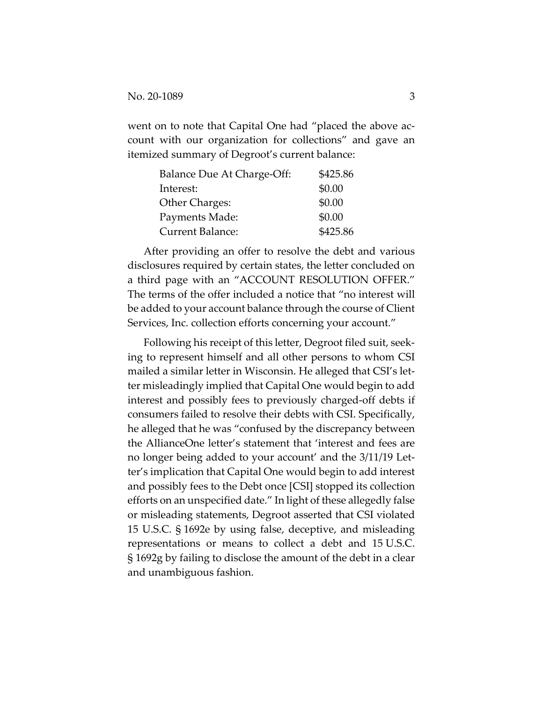went on to note that Capital One had "placed the above account with our organization for collections" and gave an itemized summary of Degroot's current balance:

| Balance Due At Charge-Off: | \$425.86 |
|----------------------------|----------|
| Interest:                  | \$0.00   |
| Other Charges:             | \$0.00   |
| Payments Made:             | \$0.00   |
| Current Balance:           | \$425.86 |

After providing an offer to resolve the debt and various disclosures required by certain states, the letter concluded on a third page with an "ACCOUNT RESOLUTION OFFER." The terms of the offer included a notice that "no interest will be added to your account balance through the course of Client Services, Inc. collection efforts concerning your account."

Following his receipt of this letter, Degroot filed suit, seeking to represent himself and all other persons to whom CSI mailed a similar letter in Wisconsin. He alleged that CSI's letter misleadingly implied that Capital One would begin to add interest and possibly fees to previously charged-off debts if consumers failed to resolve their debts with CSI. Specifically, he alleged that he was "confused by the discrepancy between the AllianceOne letter's statement that 'interest and fees are no longer being added to your account' and the 3/11/19 Letter's implication that Capital One would begin to add interest and possibly fees to the Debt once [CSI] stopped its collection efforts on an unspecified date." In light of these allegedly false or misleading statements, Degroot asserted that CSI violated 15 U.S.C. § 1692e by using false, deceptive, and misleading representations or means to collect a debt and 15 U.S.C. § 1692g by failing to disclose the amount of the debt in a clear and unambiguous fashion.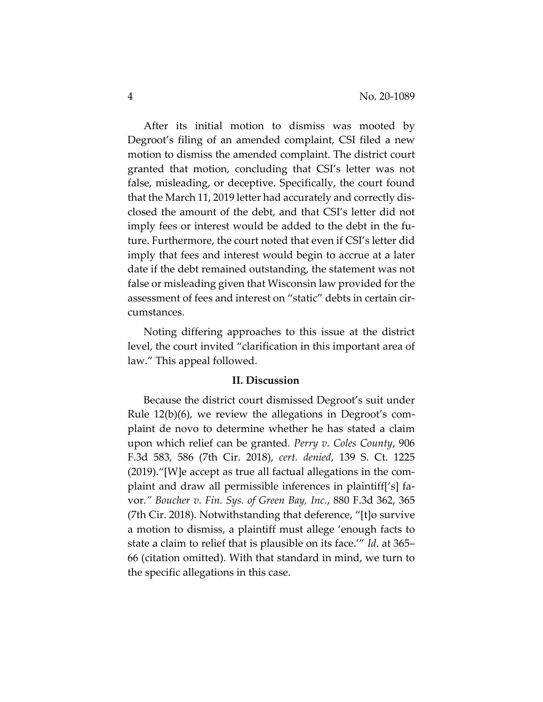After its initial motion to dismiss was mooted by Degroot's filing of an amended complaint, CSI filed a new motion to dismiss the amended complaint. The district court granted that motion, concluding that CSI's letter was not false, misleading, or deceptive. Specifically, the court found that the March 11, 2019 letter had accurately and correctly disclosed the amount of the debt, and that CSI's letter did not imply fees or interest would be added to the debt in the future. Furthermore, the court noted that even if CSI's letter did imply that fees and interest would begin to accrue at a later date if the debt remained outstanding, the statement was not false or misleading given that Wisconsin law provided for the assessment of fees and interest on "static" debts in certain circumstances.

Noting differing approaches to this issue at the district level, the court invited "clarification in this important area of law." This appeal followed.

## **II. Discussion**

Because the district court dismissed Degroot's suit under Rule 12(b)(6), we review the allegations in Degroot's complaint de novo to determine whether he has stated a claim upon which relief can be granted*. Perry v. Coles County*, 906 F.3d 583, 586 (7th Cir. 2018), *cert. denied*, 139 S. Ct. 1225 (2019)."[W]e accept as true all factual allegations in the complaint and draw all permissible inferences in plaintiff['s] favor*." Boucher v. Fin. Sys. of Green Bay, Inc.*, 880 F.3d 362, 365 (7th Cir. 2018). Notwithstanding that deference, "[t]o survive a motion to dismiss, a plaintiff must allege 'enough facts to state a claim to relief that is plausible on its face.'" *Id.* at 365– 66 (citation omitted). With that standard in mind, we turn to the specific allegations in this case.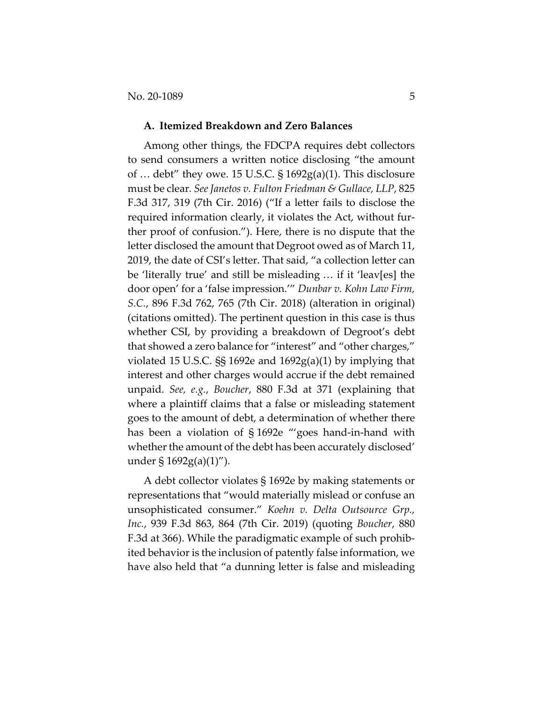#### **A. Itemized Breakdown and Zero Balances**

Among other things, the FDCPA requires debt collectors to send consumers a written notice disclosing "the amount of  $\ldots$  debt" they owe. 15 U.S.C. § 1692 $g(a)(1)$ . This disclosure must be clear*. See Janetos v. Fulton Friedman & Gullace, LLP*, 825 F.3d 317, 319 (7th Cir. 2016) ("If a letter fails to disclose the required information clearly, it violates the Act, without further proof of confusion."). Here, there is no dispute that the letter disclosed the amount that Degroot owed as of March 11, 2019, the date of CSI's letter. That said, "a collection letter can be 'literally true' and still be misleading … if it 'leav[es] the door open' for a 'false impression.'" *Dunbar v. Kohn Law Firm, S.C.*, 896 F.3d 762, 765 (7th Cir. 2018) (alteration in original) (citations omitted). The pertinent question in this case is thus whether CSI, by providing a breakdown of Degroot's debt that showed a zero balance for "interest" and "other charges," violated 15 U.S.C. §§ 1692e and 1692g(a)(1) by implying that interest and other charges would accrue if the debt remained unpaid. *See, e.g.*, *Boucher*, 880 F.3d at 371 (explaining that where a plaintiff claims that a false or misleading statement goes to the amount of debt, a determination of whether there has been a violation of § 1692e "'goes hand-in-hand with whether the amount of the debt has been accurately disclosed' under  $\S 1692g(a)(1)$ ").

A debt collector violates § 1692e by making statements or representations that "would materially mislead or confuse an unsophisticated consumer." *Koehn v. Delta Outsource Grp., Inc.*, 939 F.3d 863, 864 (7th Cir. 2019) (quoting *Boucher*, 880 F.3d at 366). While the paradigmatic example of such prohibited behavior is the inclusion of patently false information, we have also held that "a dunning letter is false and misleading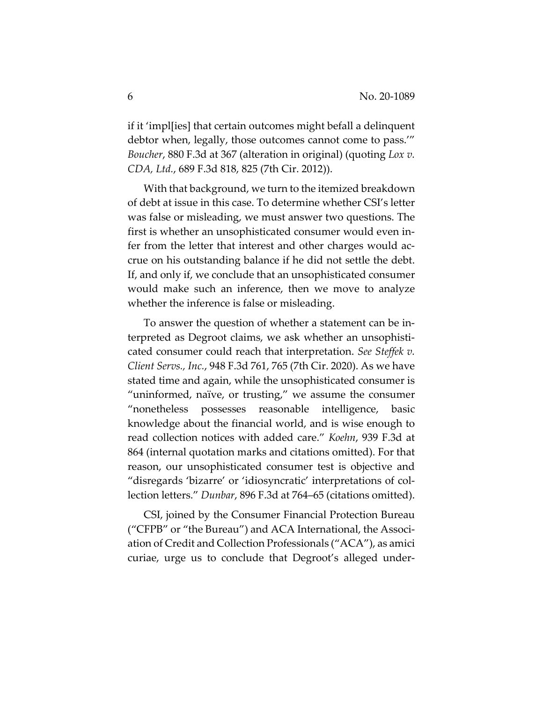if it 'impl[ies] that certain outcomes might befall a delinquent debtor when, legally, those outcomes cannot come to pass.'" *Boucher*, 880 F.3d at 367 (alteration in original) (quoting *Lox v. CDA, Ltd.*, 689 F.3d 818, 825 (7th Cir. 2012)).

With that background, we turn to the itemized breakdown of debt at issue in this case. To determine whether CSI's letter was false or misleading, we must answer two questions. The first is whether an unsophisticated consumer would even infer from the letter that interest and other charges would accrue on his outstanding balance if he did not settle the debt. If, and only if, we conclude that an unsophisticated consumer would make such an inference, then we move to analyze whether the inference is false or misleading.

To answer the question of whether a statement can be interpreted as Degroot claims, we ask whether an unsophisticated consumer could reach that interpretation. *See Steffek v. Client Servs., Inc.*, 948 F.3d 761, 765 (7th Cir. 2020). As we have stated time and again, while the unsophisticated consumer is "uninformed, naïve, or trusting," we assume the consumer "nonetheless possesses reasonable intelligence, basic knowledge about the financial world, and is wise enough to read collection notices with added care." *Koehn*, 939 F.3d at 864 (internal quotation marks and citations omitted). For that reason, our unsophisticated consumer test is objective and "disregards 'bizarre' or 'idiosyncratic' interpretations of collection letters." *Dunbar*, 896 F.3d at 764–65 (citations omitted).

CSI, joined by the Consumer Financial Protection Bureau ("CFPB" or "the Bureau") and ACA International, the Association of Credit and Collection Professionals ("ACA"), as amici curiae, urge us to conclude that Degroot's alleged under-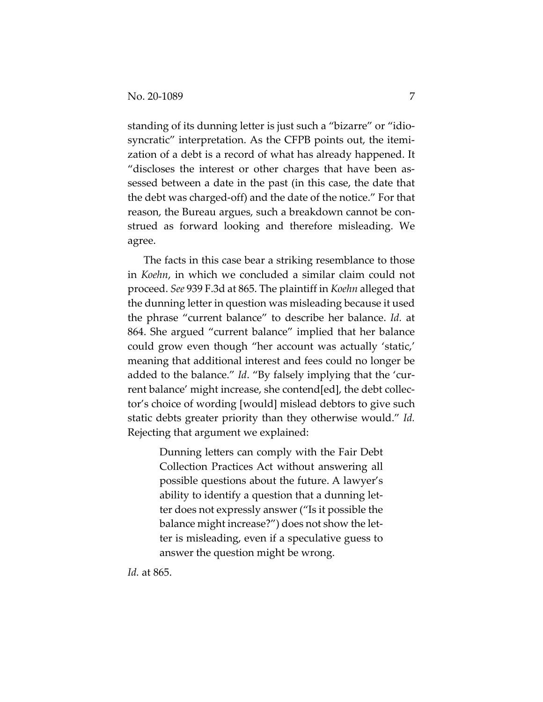standing of its dunning letter is just such a "bizarre" or "idiosyncratic" interpretation. As the CFPB points out, the itemization of a debt is a record of what has already happened. It "discloses the interest or other charges that have been assessed between a date in the past (in this case, the date that the debt was charged-off) and the date of the notice." For that reason, the Bureau argues, such a breakdown cannot be construed as forward looking and therefore misleading. We agree.

The facts in this case bear a striking resemblance to those in *Koehn*, in which we concluded a similar claim could not proceed. *See* 939 F.3d at 865. The plaintiff in *Koehn* alleged that the dunning letter in question was misleading because it used the phrase "current balance" to describe her balance. *Id.* at 864. She argued "current balance" implied that her balance could grow even though "her account was actually 'static,' meaning that additional interest and fees could no longer be added to the balance." *Id*. "By falsely implying that the 'current balance' might increase, she contend[ed], the debt collector's choice of wording [would] mislead debtors to give such static debts greater priority than they otherwise would." *Id.* Rejecting that argument we explained:

> Dunning letters can comply with the Fair Debt Collection Practices Act without answering all possible questions about the future. A lawyer's ability to identify a question that a dunning letter does not expressly answer ("Is it possible the balance might increase?") does not show the letter is misleading, even if a speculative guess to answer the question might be wrong.

*Id.* at 865.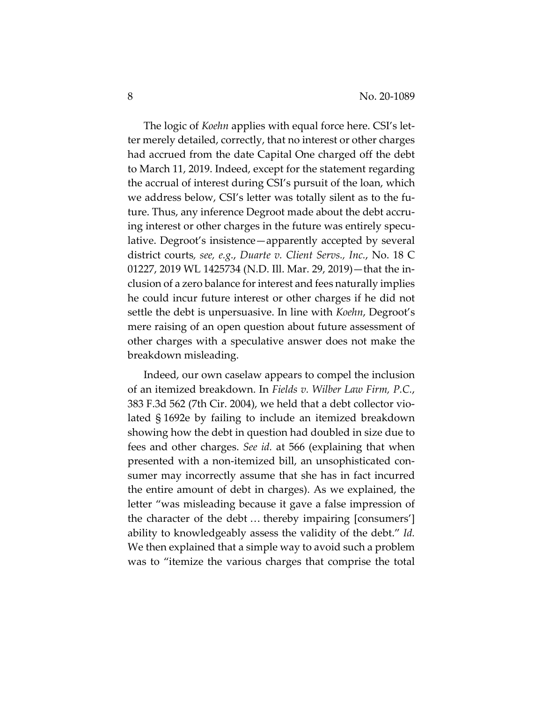The logic of *Koehn* applies with equal force here. CSI's letter merely detailed, correctly, that no interest or other charges had accrued from the date Capital One charged off the debt to March 11, 2019. Indeed, except for the statement regarding the accrual of interest during CSI's pursuit of the loan, which we address below, CSI's letter was totally silent as to the future. Thus, any inference Degroot made about the debt accruing interest or other charges in the future was entirely speculative. Degroot's insistence—apparently accepted by several district courts*, see, e.g.*, *Duarte v. Client Servs., Inc.*, No. 18 C 01227, 2019 WL 1425734 (N.D. Ill. Mar. 29, 2019)—that the inclusion of a zero balance for interest and fees naturally implies he could incur future interest or other charges if he did not settle the debt is unpersuasive. In line with *Koehn*, Degroot's mere raising of an open question about future assessment of other charges with a speculative answer does not make the breakdown misleading.

Indeed, our own caselaw appears to compel the inclusion of an itemized breakdown. In *Fields v. Wilber Law Firm, P.C.*, 383 F.3d 562 (7th Cir. 2004), we held that a debt collector violated § 1692e by failing to include an itemized breakdown showing how the debt in question had doubled in size due to fees and other charges. *See id.* at 566 (explaining that when presented with a non-itemized bill, an unsophisticated consumer may incorrectly assume that she has in fact incurred the entire amount of debt in charges). As we explained, the letter "was misleading because it gave a false impression of the character of the debt … thereby impairing [consumers'] ability to knowledgeably assess the validity of the debt." *Id.* We then explained that a simple way to avoid such a problem was to "itemize the various charges that comprise the total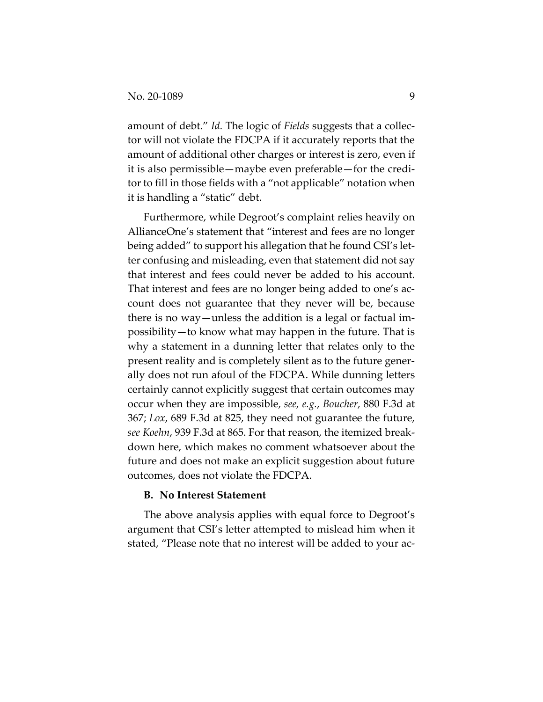amount of debt." *Id.* The logic of *Fields* suggests that a collector will not violate the FDCPA if it accurately reports that the amount of additional other charges or interest is zero, even if it is also permissible—maybe even preferable—for the creditor to fill in those fields with a "not applicable" notation when it is handling a "static" debt.

Furthermore, while Degroot's complaint relies heavily on AllianceOne's statement that "interest and fees are no longer being added" to support his allegation that he found CSI's letter confusing and misleading, even that statement did not say that interest and fees could never be added to his account. That interest and fees are no longer being added to one's account does not guarantee that they never will be, because there is no way—unless the addition is a legal or factual impossibility—to know what may happen in the future. That is why a statement in a dunning letter that relates only to the present reality and is completely silent as to the future generally does not run afoul of the FDCPA. While dunning letters certainly cannot explicitly suggest that certain outcomes may occur when they are impossible, *see, e.g.*, *Boucher*, 880 F.3d at 367; *Lox*, 689 F.3d at 825, they need not guarantee the future, *see Koehn*, 939 F.3d at 865. For that reason, the itemized breakdown here, which makes no comment whatsoever about the future and does not make an explicit suggestion about future outcomes, does not violate the FDCPA.

#### **B. No Interest Statement**

The above analysis applies with equal force to Degroot's argument that CSI's letter attempted to mislead him when it stated, "Please note that no interest will be added to your ac-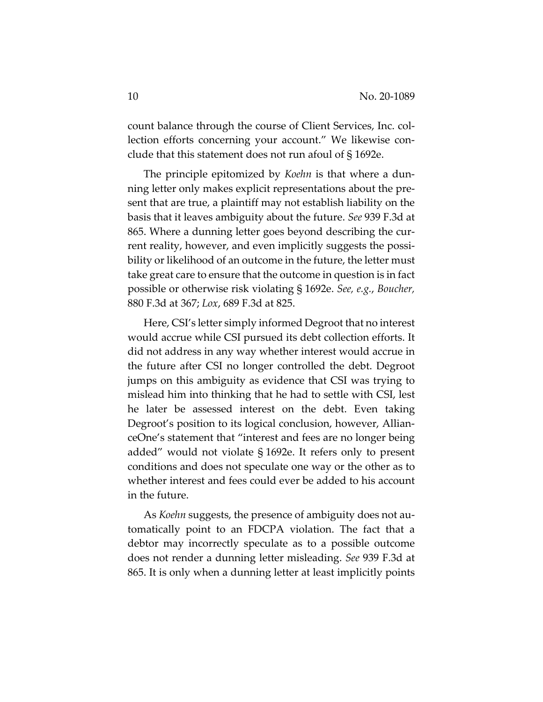count balance through the course of Client Services, Inc. collection efforts concerning your account." We likewise conclude that this statement does not run afoul of § 1692e.

The principle epitomized by *Koehn* is that where a dunning letter only makes explicit representations about the present that are true, a plaintiff may not establish liability on the basis that it leaves ambiguity about the future. *See* 939 F.3d at 865. Where a dunning letter goes beyond describing the current reality, however, and even implicitly suggests the possibility or likelihood of an outcome in the future, the letter must take great care to ensure that the outcome in question is in fact possible or otherwise risk violating § 1692e. *See, e.g.*, *Boucher,*  880 F.3d at 367; *Lox*, 689 F.3d at 825.

Here, CSI's letter simply informed Degroot that no interest would accrue while CSI pursued its debt collection efforts. It did not address in any way whether interest would accrue in the future after CSI no longer controlled the debt. Degroot jumps on this ambiguity as evidence that CSI was trying to mislead him into thinking that he had to settle with CSI, lest he later be assessed interest on the debt. Even taking Degroot's position to its logical conclusion, however, AllianceOne's statement that "interest and fees are no longer being added" would not violate § 1692e. It refers only to present conditions and does not speculate one way or the other as to whether interest and fees could ever be added to his account in the future.

As *Koehn* suggests, the presence of ambiguity does not automatically point to an FDCPA violation. The fact that a debtor may incorrectly speculate as to a possible outcome does not render a dunning letter misleading. *See* 939 F.3d at 865. It is only when a dunning letter at least implicitly points